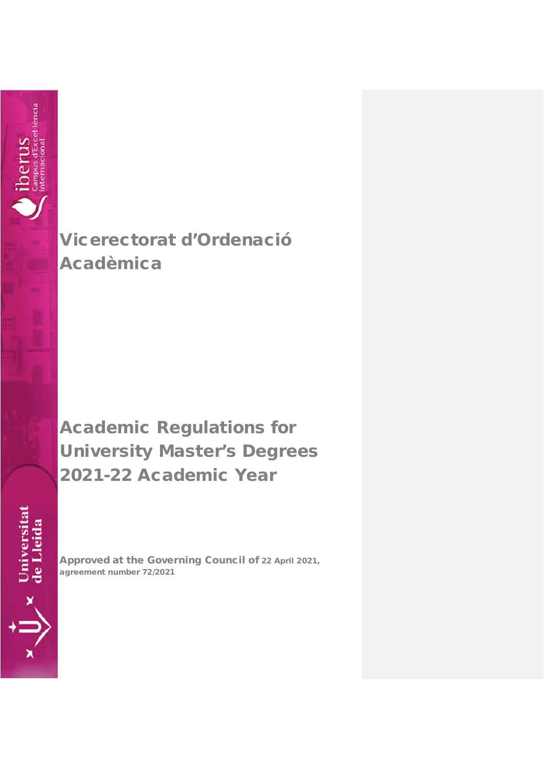

Vicerectorat d'Ordenació Acadèmica

Academic Regulations for University Master's Degrees 2021-22 Academic Year

Universitat<br>de Lleida

Approved at the Governing Council of 22 April 2021, agreement number 72/2021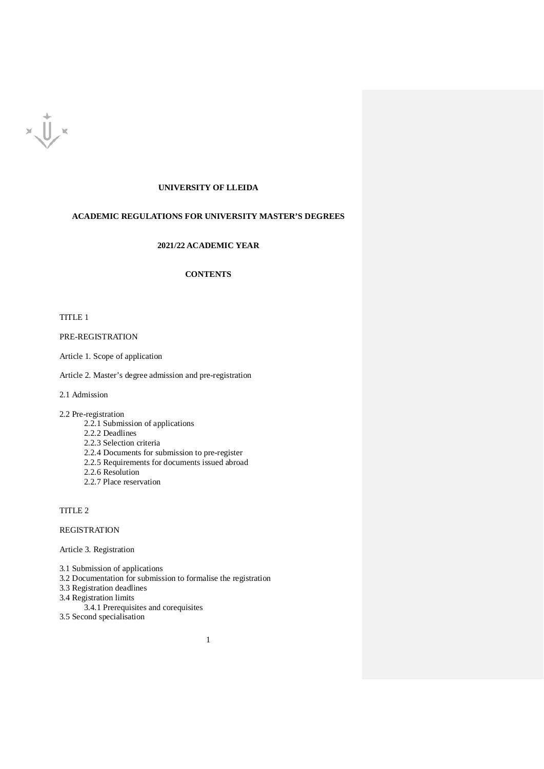

# **UNIVERSITY OF LLEIDA**

# **ACADEMIC REGULATIONS FOR UNIVERSITY MASTER'S DEGREES**

# **2021/22 ACADEMIC YEAR**

# **CONTENTS**

TITLE 1

PRE-REGISTRATION

Article 1. Scope of application

Article 2. Master's degree admission and pre-registration

2.1 Admission

2.2 Pre-registration

- 2.2.1 Submission of applications
- 2.2.2 Deadlines
- 2.2.3 Selection criteria
- 2.2.4 Documents for submission to pre-register
- 2.2.5 Requirements for documents issued abroad
- 2.2.6 Resolution
- 2.2.7 Place reservation

TITLE 2

REGISTRATION

Article 3. Registration

3.1 Submission of applications

3.2 Documentation for submission to formalise the registration

1

- 3.3 Registration deadlines
- 3.4 Registration limits
- 3.4.1 Prerequisites and corequisites
- 3.5 Second specialisation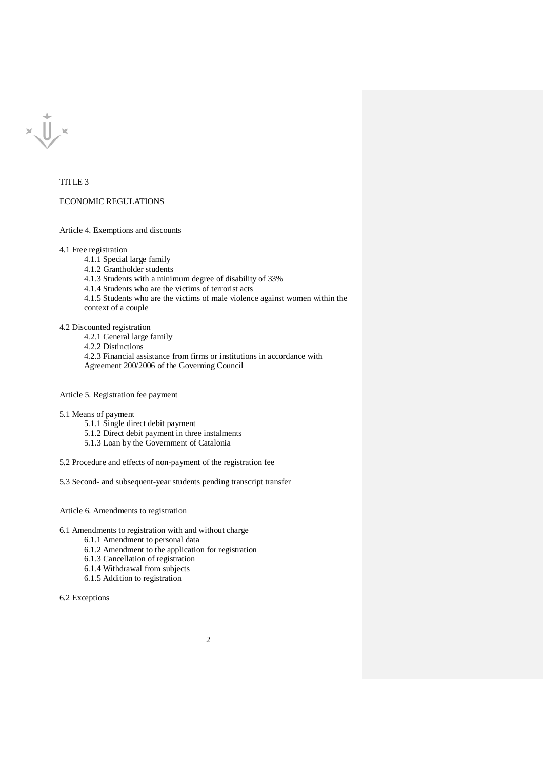$x\bigcup x$ 

#### TITLE 3

#### ECONOMIC REGULATIONS

Article 4. Exemptions and discounts

4.1 Free registration

4.1.1 Special large family

4.1.2 Grantholder students

4.1.3 Students with a minimum degree of disability of 33%

4.1.4 Students who are the victims of terrorist acts

4.1.5 Students who are the victims of male violence against women within the context of a couple

4.2 Discounted registration

4.2.1 General large family

4.2.2 Distinctions

4.2.3 Financial assistance from firms or institutions in accordance with Agreement 200/2006 of the Governing Council

Article 5. Registration fee payment

5.1 Means of payment

- 5.1.1 Single direct debit payment
- 5.1.2 Direct debit payment in three instalments
- 5.1.3 Loan by the Government of Catalonia

5.2 Procedure and effects of non-payment of the registration fee

5.3 Second- and subsequent-year students pending transcript transfer

Article 6. Amendments to registration

6.1 Amendments to registration with and without charge

6.1.1 Amendment to personal data

6.1.2 Amendment to the application for registration

6.1.3 Cancellation of registration

6.1.4 Withdrawal from subjects

6.1.5 Addition to registration

6.2 Exceptions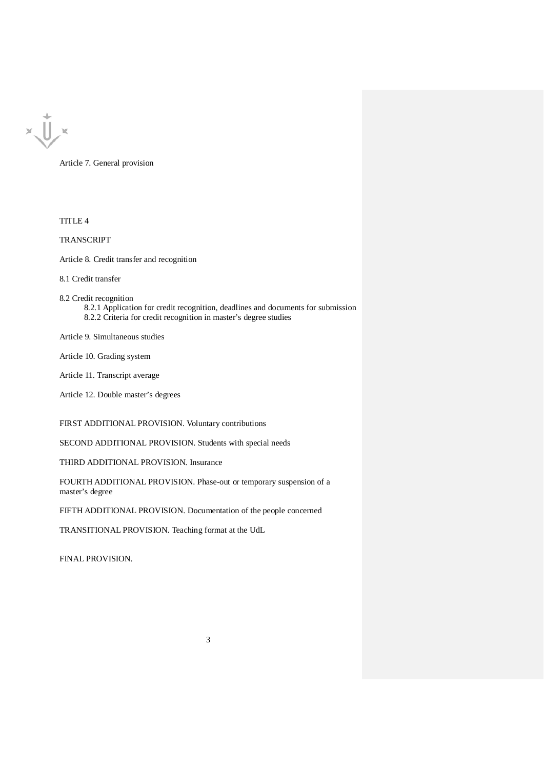

Article 7. General provision

TITLE 4

TRANSCRIPT

Article 8. Credit transfer and recognition

8.1 Credit transfer

- 8.2 Credit recognition
	- 8.2.1 Application for credit recognition, deadlines and documents for submission 8.2.2 Criteria for credit recognition in master's degree studies

Article 9. Simultaneous studies

Article 10. Grading system

- Article 11. Transcript average
- Article 12. Double master's degrees

FIRST ADDITIONAL PROVISION. Voluntary contributions

SECOND ADDITIONAL PROVISION. Students with special needs

THIRD ADDITIONAL PROVISION. Insurance

FOURTH ADDITIONAL PROVISION. Phase-out or temporary suspension of a master's degree

FIFTH ADDITIONAL PROVISION. Documentation of the people concerned

TRANSITIONAL PROVISION. Teaching format at the UdL

FINAL PROVISION.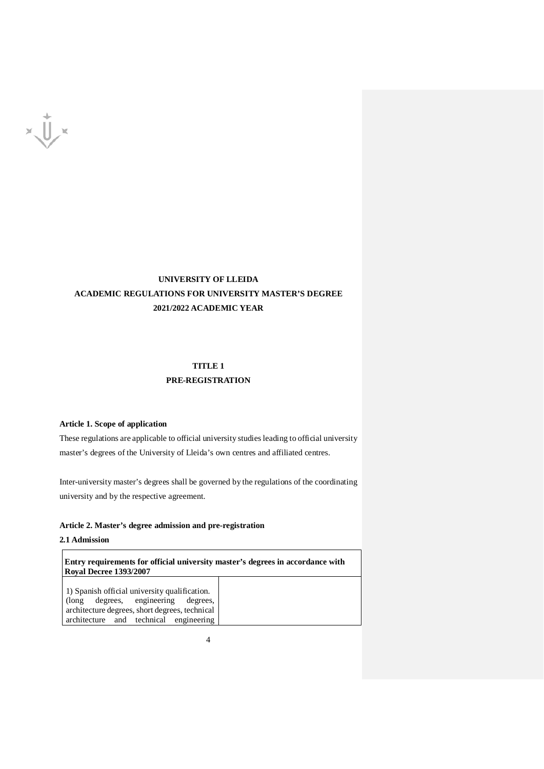

# **UNIVERSITY OF LLEIDA ACADEMIC REGULATIONS FOR UNIVERSITY MASTER'S DEGREE 2021/2022 ACADEMIC YEAR**

# **TITLE 1 PRE-REGISTRATION**

# **Article 1. Scope of application**

These regulations are applicable to official university studies leading to official university master's degrees of the University of Lleida's own centres and affiliated centres.

Inter-university master's degrees shall be governed by the regulations of the coordinating university and by the respective agreement.

#### **Article 2. Master's degree admission and pre-registration**

# **2.1 Admission**

**Entry requirements for official university master's degrees in accordance with Royal Decree 1393/2007** 1) Spanish official university qualification. (long degrees, engineering degrees, architecture degrees, short degrees, technical architecture and technical engineering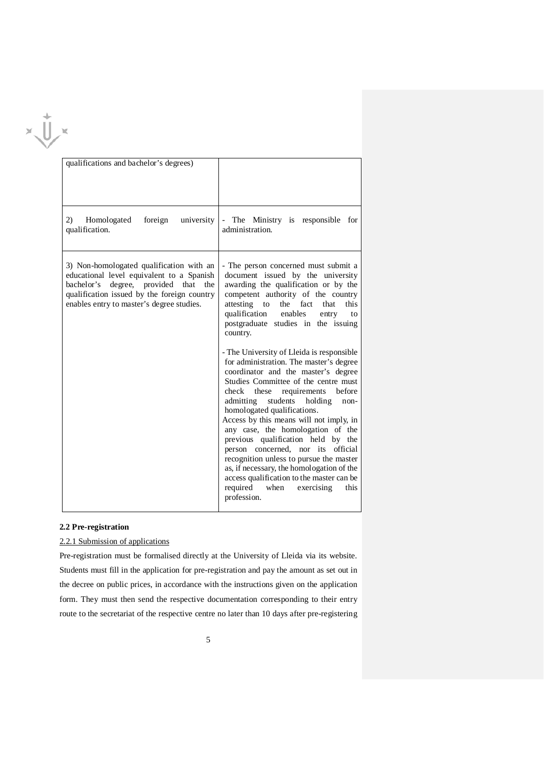|  | qualifications and bachelor's degrees)                                                                                                                                                                                          |                                                                                                                                                                                                                                                                                                                                                                                                                                                                                                                                                                                                |  |
|--|---------------------------------------------------------------------------------------------------------------------------------------------------------------------------------------------------------------------------------|------------------------------------------------------------------------------------------------------------------------------------------------------------------------------------------------------------------------------------------------------------------------------------------------------------------------------------------------------------------------------------------------------------------------------------------------------------------------------------------------------------------------------------------------------------------------------------------------|--|
|  | 2)<br>Homologated<br>foreign<br>university<br>qualification.                                                                                                                                                                    | The Ministry is responsible for<br>$\sim$<br>administration.                                                                                                                                                                                                                                                                                                                                                                                                                                                                                                                                   |  |
|  | 3) Non-homologated qualification with an<br>educational level equivalent to a Spanish<br>bachelor's<br>degree, provided<br>that the<br>qualification issued by the foreign country<br>enables entry to master's degree studies. | - The person concerned must submit a<br>document issued by the university<br>awarding the qualification or by the<br>competent authority of the country<br>attesting<br>the<br>fact<br>that<br>this<br>to<br>qualification<br>enables<br>entry<br>to<br>postgraduate studies in the issuing<br>country.                                                                                                                                                                                                                                                                                        |  |
|  |                                                                                                                                                                                                                                 | - The University of Lleida is responsible<br>for administration. The master's degree<br>coordinator and the master's degree<br>Studies Committee of the centre must<br>check<br>requirements<br>before<br>these<br>admitting<br>students<br>holding<br>non-<br>homologated qualifications.<br>Access by this means will not imply, in<br>any case, the homologation of the<br>previous qualification held by the<br>person concerned, nor its<br>official<br>recognition unless to pursue the master<br>as, if necessary, the homologation of the<br>access qualification to the master can be |  |
|  |                                                                                                                                                                                                                                 | required<br>when<br>exercising<br>this<br>profession.                                                                                                                                                                                                                                                                                                                                                                                                                                                                                                                                          |  |

## **2.2 Pre-registration**

# 2.2.1 Submission of applications

Pre-registration must be formalised directly at the University of Lleida via its website. Students must fill in the application for pre-registration and pay the amount as set out in the decree on public prices, in accordance with the instructions given on the application form. They must then send the respective documentation corresponding to their entry route to the secretariat of the respective centre no later than 10 days after pre-registering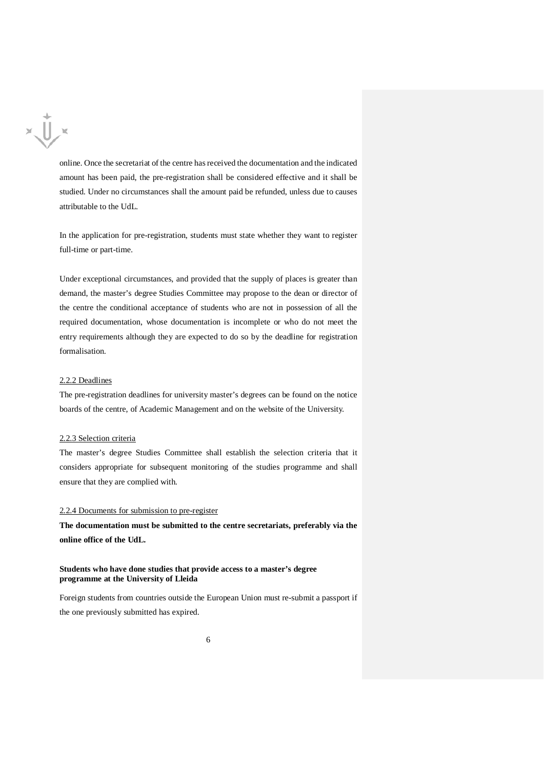

online. Once the secretariat of the centre has received the documentation and the indicated amount has been paid, the pre-registration shall be considered effective and it shall be studied. Under no circumstances shall the amount paid be refunded, unless due to causes attributable to the UdL.

In the application for pre-registration, students must state whether they want to register full-time or part-time.

Under exceptional circumstances, and provided that the supply of places is greater than demand, the master's degree Studies Committee may propose to the dean or director of the centre the conditional acceptance of students who are not in possession of all the required documentation, whose documentation is incomplete or who do not meet the entry requirements although they are expected to do so by the deadline for registration formalisation.

#### 2.2.2 Deadlines

The pre-registration deadlines for university master's degrees can be found on the notice boards of the centre, of Academic Management and on the website of the University.

#### 2.2.3 Selection criteria

The master's degree Studies Committee shall establish the selection criteria that it considers appropriate for subsequent monitoring of the studies programme and shall ensure that they are complied with.

## 2.2.4 Documents for submission to pre-register

**The documentation must be submitted to the centre secretariats, preferably via the online office of the UdL.**

#### **Students who have done studies that provide access to a master's degree programme at the University of Lleida**

Foreign students from countries outside the European Union must re-submit a passport if the one previously submitted has expired.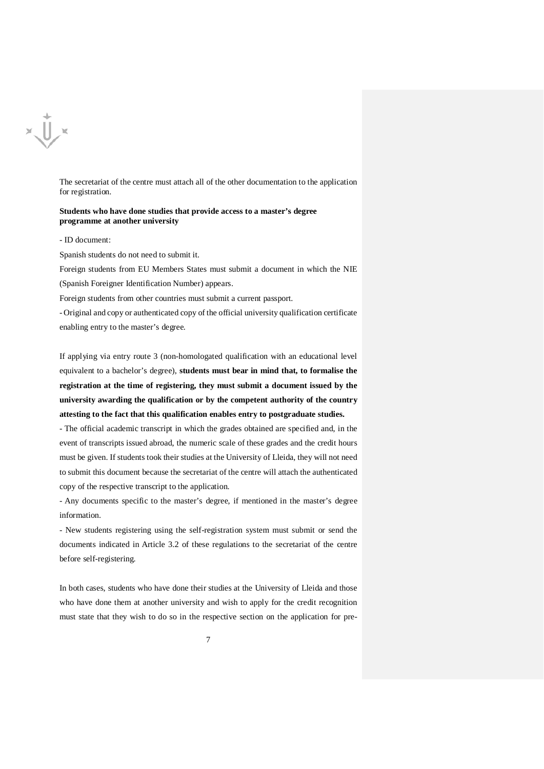

The secretariat of the centre must attach all of the other documentation to the application for registration.

#### **Students who have done studies that provide access to a master's degree programme at another university**

#### - ID document:

Spanish students do not need to submit it.

Foreign students from EU Members States must submit a document in which the NIE (Spanish Foreigner Identification Number) appears.

Foreign students from other countries must submit a current passport.

- Original and copy or authenticated copy of the official university qualification certificate enabling entry to the master's degree.

If applying via entry route 3 (non-homologated qualification with an educational level equivalent to a bachelor's degree), **students must bear in mind that, to formalise the registration at the time of registering, they must submit a document issued by the university awarding the qualification or by the competent authority of the country attesting to the fact that this qualification enables entry to postgraduate studies.**

- The official academic transcript in which the grades obtained are specified and, in the event of transcripts issued abroad, the numeric scale of these grades and the credit hours must be given. If students took their studies at the University of Lleida, they will not need to submit this document because the secretariat of the centre will attach the authenticated copy of the respective transcript to the application.

- Any documents specific to the master's degree, if mentioned in the master's degree information.

- New students registering using the self-registration system must submit or send the documents indicated in Article 3.2 of these regulations to the secretariat of the centre before self-registering.

In both cases, students who have done their studies at the University of Lleida and those who have done them at another university and wish to apply for the credit recognition must state that they wish to do so in the respective section on the application for pre-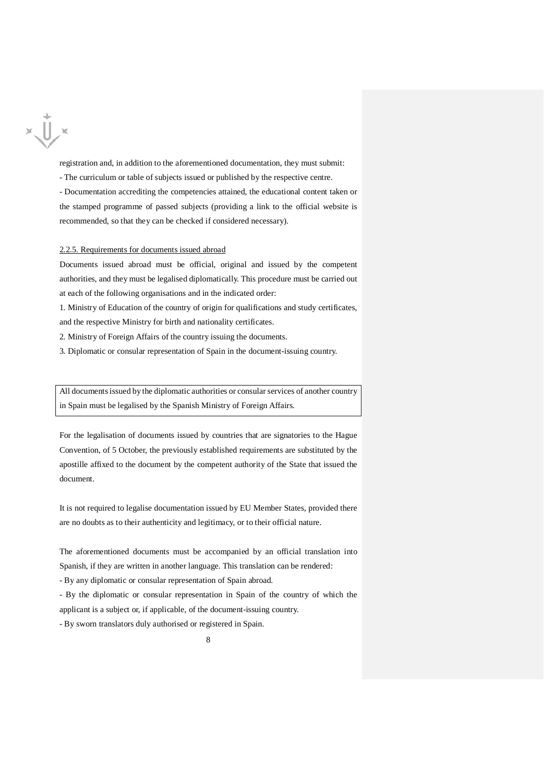

registration and, in addition to the aforementioned documentation, they must submit:

- The curriculum or table of subjects issued or published by the respective centre.

- Documentation accrediting the competencies attained, the educational content taken or the stamped programme of passed subjects (providing a link to the official website is recommended, so that they can be checked if considered necessary).

#### 2.2.5. Requirements for documents issued abroad

Documents issued abroad must be official, original and issued by the competent authorities, and they must be legalised diplomatically. This procedure must be carried out at each of the following organisations and in the indicated order:

1. Ministry of Education of the country of origin for qualifications and study certificates, and the respective Ministry for birth and nationality certificates.

2. Ministry of Foreign Affairs of the country issuing the documents.

3. Diplomatic or consular representation of Spain in the document-issuing country.

All documents issued by the diplomatic authorities or consular services of another country in Spain must be legalised by the Spanish Ministry of Foreign Affairs.

For the legalisation of documents issued by countries that are signatories to the Hague Convention, of 5 October, the previously established requirements are substituted by the apostille affixed to the document by the competent authority of the State that issued the document.

It is not required to legalise documentation issued by EU Member States, provided there are no doubts as to their authenticity and legitimacy, or to their official nature.

The aforementioned documents must be accompanied by an official translation into Spanish, if they are written in another language. This translation can be rendered:

- By any diplomatic or consular representation of Spain abroad.

- By the diplomatic or consular representation in Spain of the country of which the applicant is a subject or, if applicable, of the document-issuing country.

- By sworn translators duly authorised or registered in Spain.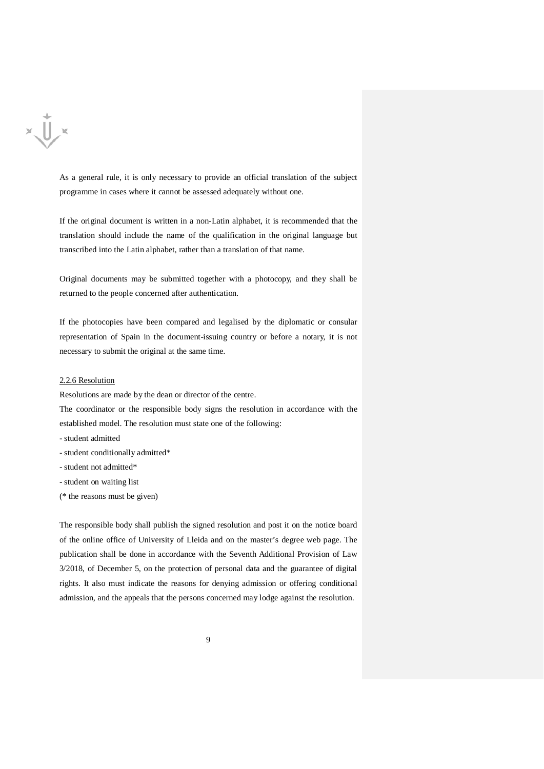

As a general rule, it is only necessary to provide an official translation of the subject programme in cases where it cannot be assessed adequately without one.

If the original document is written in a non-Latin alphabet, it is recommended that the translation should include the name of the qualification in the original language but transcribed into the Latin alphabet, rather than a translation of that name.

Original documents may be submitted together with a photocopy, and they shall be returned to the people concerned after authentication.

If the photocopies have been compared and legalised by the diplomatic or consular representation of Spain in the document-issuing country or before a notary, it is not necessary to submit the original at the same time.

#### 2.2.6 Resolution

Resolutions are made by the dean or director of the centre.

The coordinator or the responsible body signs the resolution in accordance with the established model. The resolution must state one of the following:

- student admitted
- student conditionally admitted\*
- student not admitted\*
- student on waiting list
- (\* the reasons must be given)

The responsible body shall publish the signed resolution and post it on the notice board of the online office of University of Lleida and on the master's degree web page. The publication shall be done in accordance with the Seventh Additional Provision of Law 3/2018, of December 5, on the protection of personal data and the guarantee of digital rights. It also must indicate the reasons for denying admission or offering conditional admission, and the appeals that the persons concerned may lodge against the resolution.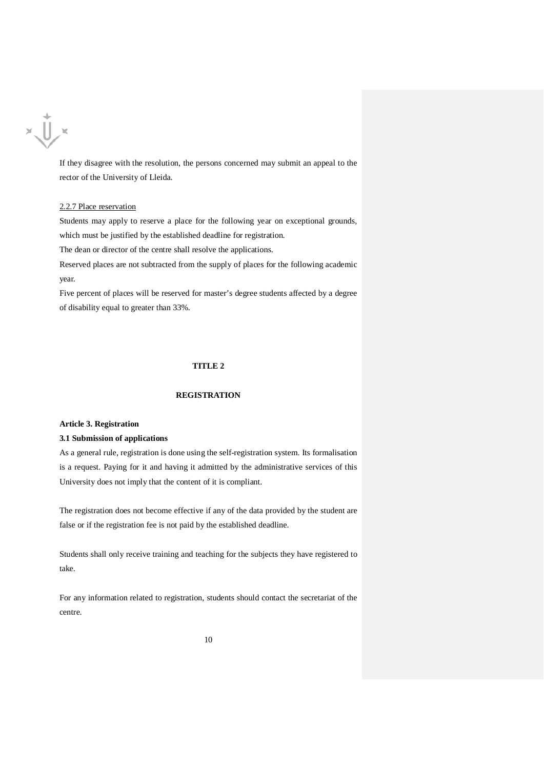

If they disagree with the resolution, the persons concerned may submit an appeal to the rector of the University of Lleida.

#### 2.2.7 Place reservation

Students may apply to reserve a place for the following year on exceptional grounds, which must be justified by the established deadline for registration.

The dean or director of the centre shall resolve the applications.

Reserved places are not subtracted from the supply of places for the following academic year.

Five percent of places will be reserved for master's degree students affected by a degree of disability equal to greater than 33%.

# **TITLE 2**

# **REGISTRATION**

#### **Article 3. Registration**

#### **3.1 Submission of applications**

As a general rule, registration is done using the self-registration system. Its formalisation is a request. Paying for it and having it admitted by the administrative services of this University does not imply that the content of it is compliant.

The registration does not become effective if any of the data provided by the student are false or if the registration fee is not paid by the established deadline.

Students shall only receive training and teaching for the subjects they have registered to take.

For any information related to registration, students should contact the secretariat of the centre.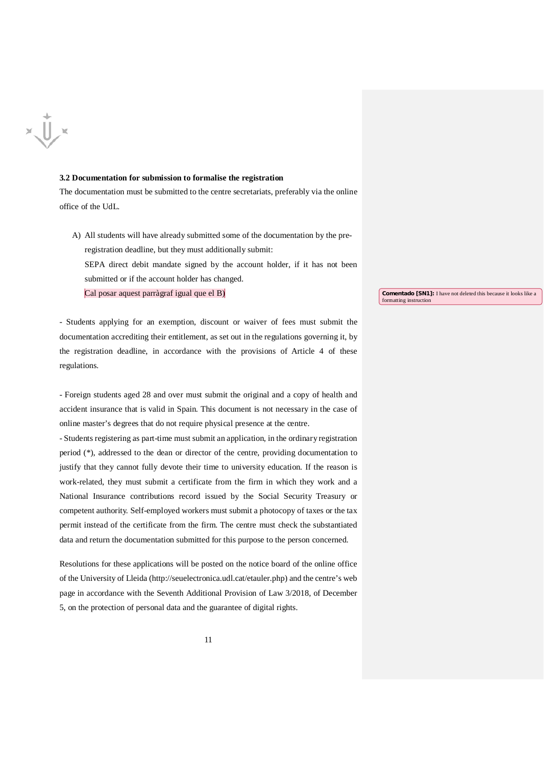# $x \bigcup x$

#### **3.2 Documentation for submission to formalise the registration**

The documentation must be submitted to the centre secretariats, preferably via the online office of the UdL.

- A) All students will have already submitted some of the documentation by the preregistration deadline, but they must additionally submit:
	- SEPA direct debit mandate signed by the account holder, if it has not been submitted or if the account holder has changed.

Cal posar aquest parràgraf igual que el B)

**Comentado [SN1]:** I have not deleted this because it looks like a formatting instruction

- Students applying for an exemption, discount or waiver of fees must submit the documentation accrediting their entitlement, as set out in the regulations governing it, by the registration deadline, in accordance with the provisions of Article 4 of these regulations.

- Foreign students aged 28 and over must submit the original and a copy of health and accident insurance that is valid in Spain. This document is not necessary in the case of online master's degrees that do not require physical presence at the centre.

- Students registering as part-time must submit an application, in the ordinary registration period (\*), addressed to the dean or director of the centre, providing documentation to justify that they cannot fully devote their time to university education. If the reason is work-related, they must submit a certificate from the firm in which they work and a National Insurance contributions record issued by the Social Security Treasury or competent authority. Self-employed workers must submit a photocopy of taxes or the tax permit instead of the certificate from the firm. The centre must check the substantiated data and return the documentation submitted for this purpose to the person concerned.

Resolutions for these applications will be posted on the notice board of the online office of the University of Lleida (http://seuelectronica.udl.cat/etauler.php) and the centre's web page in accordance with the Seventh Additional Provision of Law 3/2018, of December 5, on the protection of personal data and the guarantee of digital rights.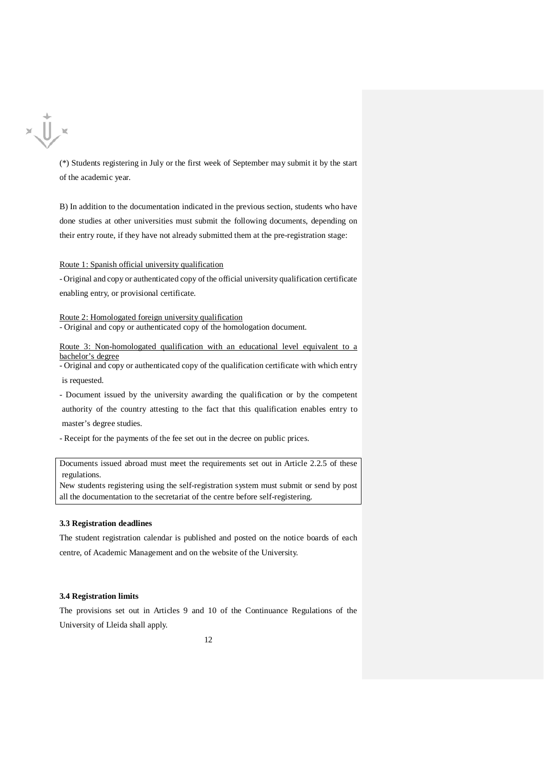

(\*) Students registering in July or the first week of September may submit it by the start of the academic year.

B) In addition to the documentation indicated in the previous section, students who have done studies at other universities must submit the following documents, depending on their entry route, if they have not already submitted them at the pre-registration stage:

Route 1: Spanish official university qualification

- Original and copy or authenticated copy of the official university qualification certificate enabling entry, or provisional certificate.

Route 2: Homologated foreign university qualification

- Original and copy or authenticated copy of the homologation document.

Route 3: Non-homologated qualification with an educational level equivalent to a bachelor's degree

- Original and copy or authenticated copy of the qualification certificate with which entry is requested.

- Document issued by the university awarding the qualification or by the competent authority of the country attesting to the fact that this qualification enables entry to master's degree studies.

- Receipt for the payments of the fee set out in the decree on public prices.

Documents issued abroad must meet the requirements set out in Article 2.2.5 of these regulations.

New students registering using the self-registration system must submit or send by post all the documentation to the secretariat of the centre before self-registering.

#### **3.3 Registration deadlines**

The student registration calendar is published and posted on the notice boards of each centre, of Academic Management and on the website of the University.

#### **3.4 Registration limits**

The provisions set out in Articles 9 and 10 of the Continuance Regulations of the University of Lleida shall apply.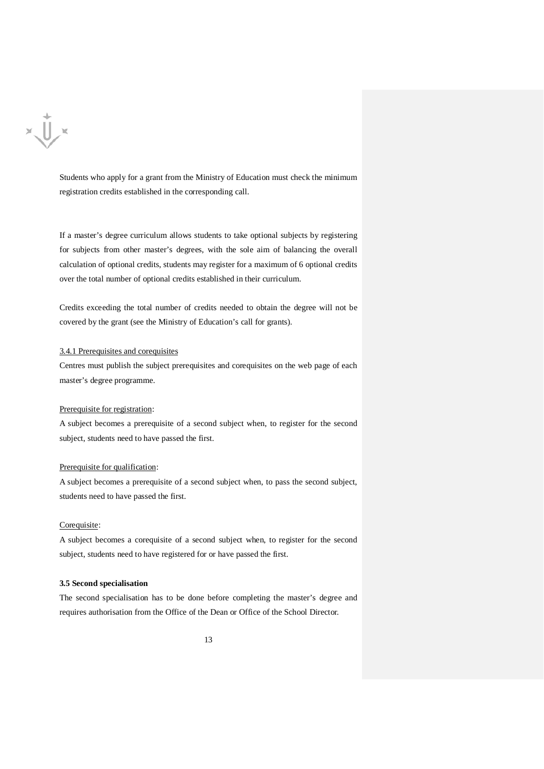

Students who apply for a grant from the Ministry of Education must check the minimum registration credits established in the corresponding call.

If a master's degree curriculum allows students to take optional subjects by registering for subjects from other master's degrees, with the sole aim of balancing the overall calculation of optional credits, students may register for a maximum of 6 optional credits over the total number of optional credits established in their curriculum.

Credits exceeding the total number of credits needed to obtain the degree will not be covered by the grant (see the Ministry of Education's call for grants).

#### 3.4.1 Prerequisites and corequisites

Centres must publish the subject prerequisites and corequisites on the web page of each master's degree programme.

### Prerequisite for registration:

A subject becomes a prerequisite of a second subject when, to register for the second subject, students need to have passed the first.

#### Prerequisite for qualification:

A subject becomes a prerequisite of a second subject when, to pass the second subject, students need to have passed the first.

#### Corequisite:

A subject becomes a corequisite of a second subject when, to register for the second subject, students need to have registered for or have passed the first.

#### **3.5 Second specialisation**

The second specialisation has to be done before completing the master's degree and requires authorisation from the Office of the Dean or Office of the School Director.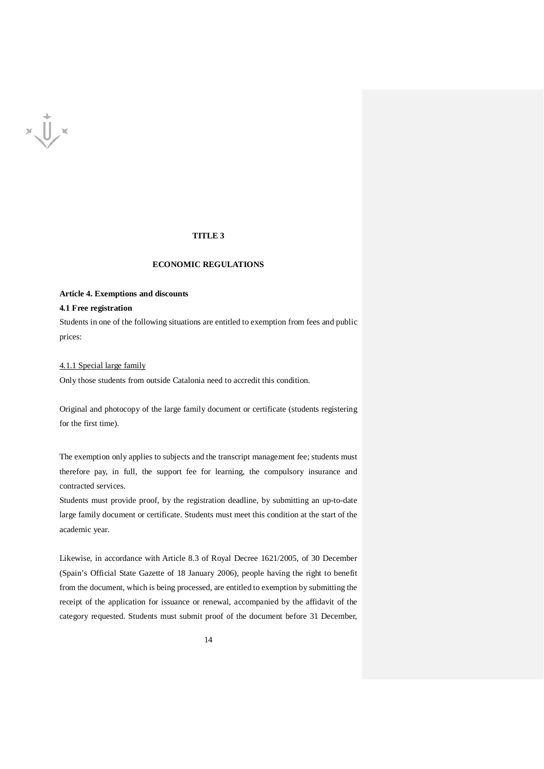

# **TITLE 3**

# **ECONOMIC REGULATIONS**

# **Article 4. Exemptions and discounts**

## **4.1 Free registration**

Students in one of the following situations are entitled to exemption from fees and public prices:

#### 4.1.1 Special large family

Only those students from outside Catalonia need to accredit this condition.

Original and photocopy of the large family document or certificate (students registering for the first time).

The exemption only applies to subjects and the transcript management fee; students must therefore pay, in full, the support fee for learning, the compulsory insurance and contracted services.

Students must provide proof, by the registration deadline, by submitting an up-to-date large family document or certificate. Students must meet this condition at the start of the academic year.

Likewise, in accordance with Article 8.3 of Royal Decree 1621/2005, of 30 December (Spain's Official State Gazette of 18 January 2006), people having the right to benefit from the document, which is being processed, are entitled to exemption by submitting the receipt of the application for issuance or renewal, accompanied by the affidavit of the category requested. Students must submit proof of the document before 31 December,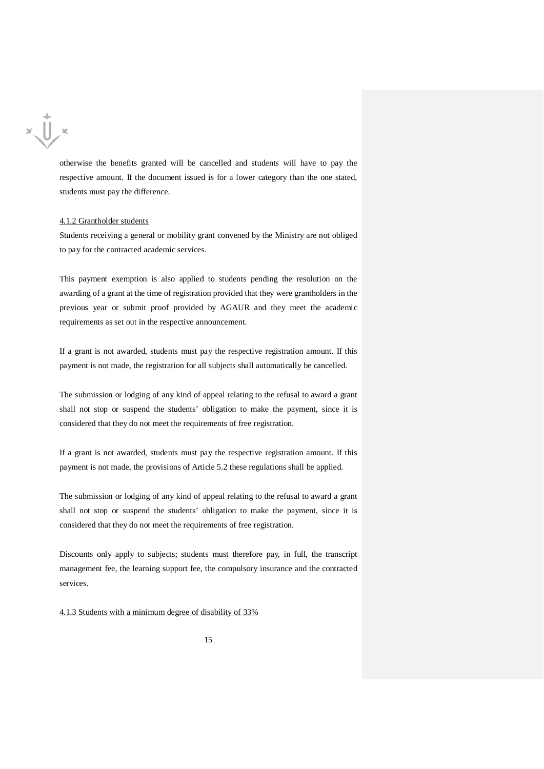

otherwise the benefits granted will be cancelled and students will have to pay the respective amount. If the document issued is for a lower category than the one stated, students must pay the difference.

#### 4.1.2 Grantholder students

Students receiving a general or mobility grant convened by the Ministry are not obliged to pay for the contracted academic services.

This payment exemption is also applied to students pending the resolution on the awarding of a grant at the time of registration provided that they were grantholders in the previous year or submit proof provided by AGAUR and they meet the academic requirements as set out in the respective announcement.

If a grant is not awarded, students must pay the respective registration amount. If this payment is not made, the registration for all subjects shall automatically be cancelled.

The submission or lodging of any kind of appeal relating to the refusal to award a grant shall not stop or suspend the students' obligation to make the payment, since it is considered that they do not meet the requirements of free registration.

If a grant is not awarded, students must pay the respective registration amount. If this payment is not made, the provisions of Article 5.2 these regulations shall be applied.

The submission or lodging of any kind of appeal relating to the refusal to award a grant shall not stop or suspend the students' obligation to make the payment, since it is considered that they do not meet the requirements of free registration.

Discounts only apply to subjects; students must therefore pay, in full, the transcript management fee, the learning support fee, the compulsory insurance and the contracted services.

4.1.3 Students with a minimum degree of disability of 33%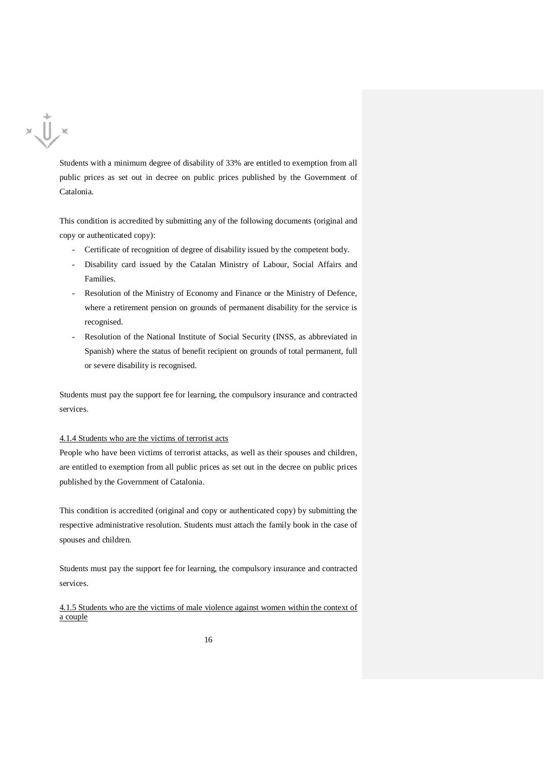

Students with a minimum degree of disability of 33% are entitled to exemption from all public prices as set out in decree on public prices published by the Government of Catalonia.

This condition is accredited by submitting any of the following documents (original and copy or authenticated copy):

- Certificate of recognition of degree of disability issued by the competent body.
- Disability card issued by the Catalan Ministry of Labour, Social Affairs and Families.
- Resolution of the Ministry of Economy and Finance or the Ministry of Defence, where a retirement pension on grounds of permanent disability for the service is recognised.
- Resolution of the National Institute of Social Security (INSS, as abbreviated in Spanish) where the status of benefit recipient on grounds of total permanent, full or severe disability is recognised.

Students must pay the support fee for learning, the compulsory insurance and contracted services.

#### 4.1.4 Students who are the victims of terrorist acts

People who have been victims of terrorist attacks, as well as their spouses and children, are entitled to exemption from all public prices as set out in the decree on public prices published by the Government of Catalonia.

This condition is accredited (original and copy or authenticated copy) by submitting the respective administrative resolution. Students must attach the family book in the case of spouses and children.

Students must pay the support fee for learning, the compulsory insurance and contracted services.

4.1.5 Students who are the victims of male violence against women within the context of a couple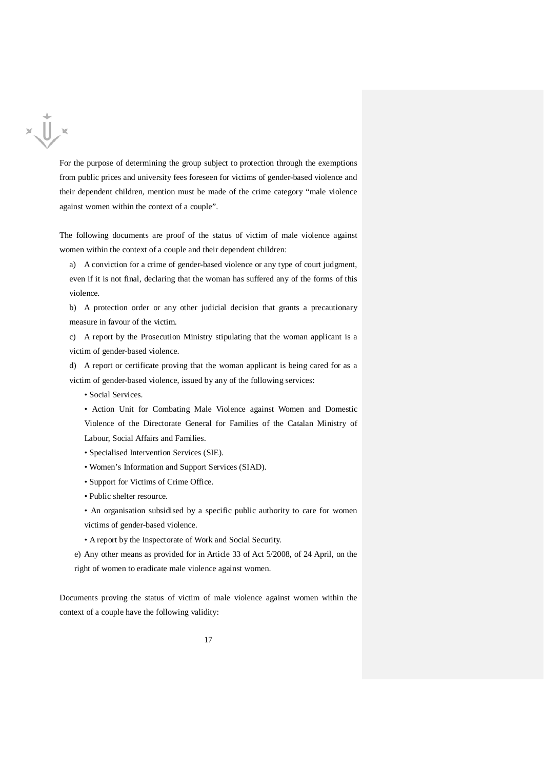

For the purpose of determining the group subject to protection through the exemptions from public prices and university fees foreseen for victims of gender-based violence and their dependent children, mention must be made of the crime category "male violence against women within the context of a couple".

The following documents are proof of the status of victim of male violence against women within the context of a couple and their dependent children:

a) A conviction for a crime of gender-based violence or any type of court judgment, even if it is not final, declaring that the woman has suffered any of the forms of this violence.

b) A protection order or any other judicial decision that grants a precautionary measure in favour of the victim.

c) A report by the Prosecution Ministry stipulating that the woman applicant is a victim of gender-based violence.

d) A report or certificate proving that the woman applicant is being cared for as a victim of gender-based violence, issued by any of the following services:

• Social Services.

• Action Unit for Combating Male Violence against Women and Domestic Violence of the Directorate General for Families of the Catalan Ministry of Labour, Social Affairs and Families.

- Specialised Intervention Services (SIE).
- Women's Information and Support Services (SIAD).
- Support for Victims of Crime Office.
- Public shelter resource.
- An organisation subsidised by a specific public authority to care for women victims of gender-based violence.
- A report by the Inspectorate of Work and Social Security.

e) Any other means as provided for in Article 33 of Act 5/2008, of 24 April, on the right of women to eradicate male violence against women.

Documents proving the status of victim of male violence against women within the context of a couple have the following validity: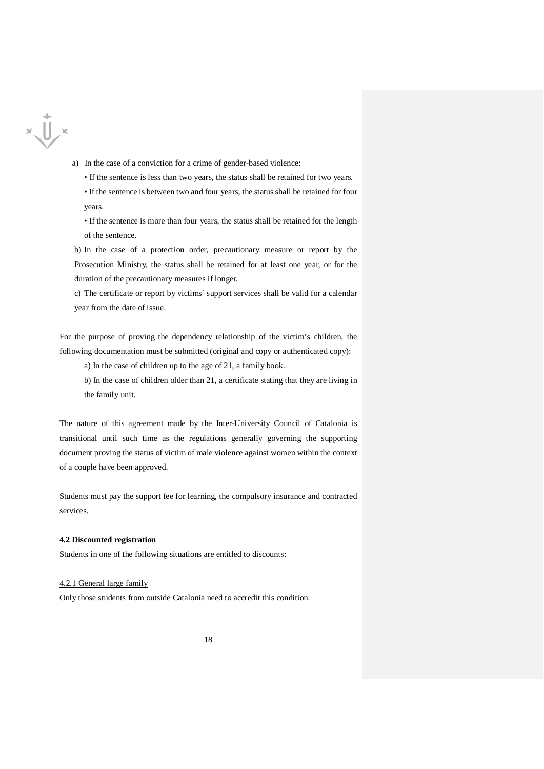

- a) In the case of a conviction for a crime of gender-based violence:
	- If the sentence is less than two years, the status shall be retained for two years.
	- If the sentence is between two and four years, the status shall be retained for four years.
	- If the sentence is more than four years, the status shall be retained for the length of the sentence.
- b) In the case of a protection order, precautionary measure or report by the Prosecution Ministry, the status shall be retained for at least one year, or for the duration of the precautionary measures if longer.
- c) The certificate or report by victims' support services shall be valid for a calendar year from the date of issue.

For the purpose of proving the dependency relationship of the victim's children, the following documentation must be submitted (original and copy or authenticated copy):

a) In the case of children up to the age of 21, a family book.

b) In the case of children older than 21, a certificate stating that they are living in the family unit.

The nature of this agreement made by the Inter-University Council of Catalonia is transitional until such time as the regulations generally governing the supporting document proving the status of victim of male violence against women within the context of a couple have been approved.

Students must pay the support fee for learning, the compulsory insurance and contracted services.

#### **4.2 Discounted registration**

Students in one of the following situations are entitled to discounts:

#### 4.2.1 General large family

Only those students from outside Catalonia need to accredit this condition.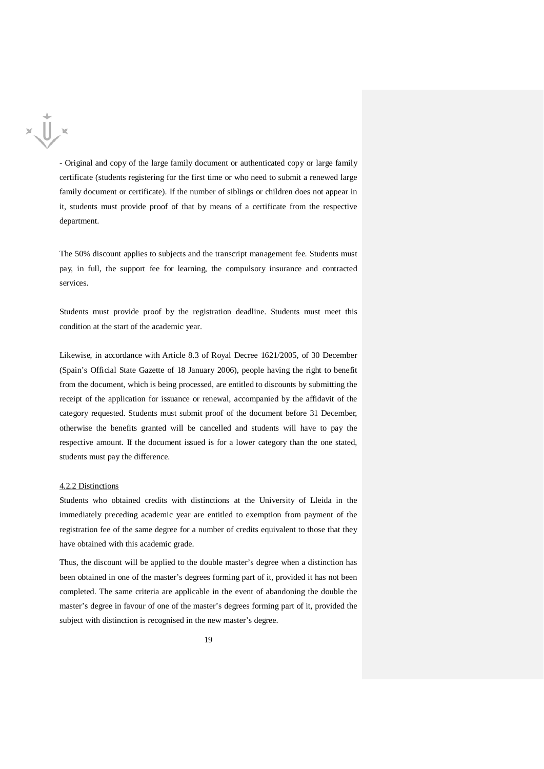

- Original and copy of the large family document or authenticated copy or large family certificate (students registering for the first time or who need to submit a renewed large family document or certificate). If the number of siblings or children does not appear in it, students must provide proof of that by means of a certificate from the respective department.

The 50% discount applies to subjects and the transcript management fee. Students must pay, in full, the support fee for learning, the compulsory insurance and contracted services.

Students must provide proof by the registration deadline. Students must meet this condition at the start of the academic year.

Likewise, in accordance with Article 8.3 of Royal Decree 1621/2005, of 30 December (Spain's Official State Gazette of 18 January 2006), people having the right to benefit from the document, which is being processed, are entitled to discounts by submitting the receipt of the application for issuance or renewal, accompanied by the affidavit of the category requested. Students must submit proof of the document before 31 December, otherwise the benefits granted will be cancelled and students will have to pay the respective amount. If the document issued is for a lower category than the one stated, students must pay the difference.

#### 4.2.2 Distinctions

Students who obtained credits with distinctions at the University of Lleida in the immediately preceding academic year are entitled to exemption from payment of the registration fee of the same degree for a number of credits equivalent to those that they have obtained with this academic grade.

Thus, the discount will be applied to the double master's degree when a distinction has been obtained in one of the master's degrees forming part of it, provided it has not been completed. The same criteria are applicable in the event of abandoning the double the master's degree in favour of one of the master's degrees forming part of it, provided the subject with distinction is recognised in the new master's degree.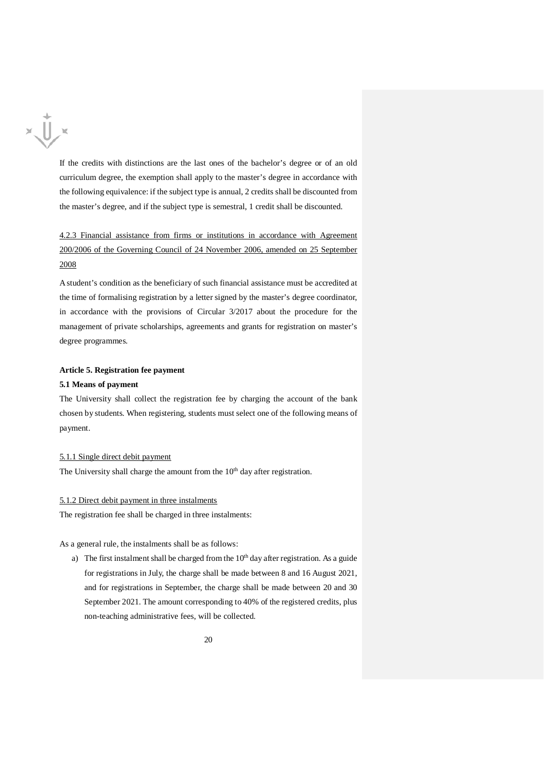

If the credits with distinctions are the last ones of the bachelor's degree or of an old curriculum degree, the exemption shall apply to the master's degree in accordance with the following equivalence: if the subject type is annual, 2 credits shall be discounted from the master's degree, and if the subject type is semestral, 1 credit shall be discounted.

4.2.3 Financial assistance from firms or institutions in accordance with Agreement 200/2006 of the Governing Council of 24 November 2006, amended on 25 September 2008

A student's condition as the beneficiary of such financial assistance must be accredited at the time of formalising registration by a letter signed by the master's degree coordinator, in accordance with the provisions of Circular 3/2017 about the procedure for the management of private scholarships, agreements and grants for registration on master's degree programmes.

#### **Article 5. Registration fee payment**

# **5.1 Means of payment**

The University shall collect the registration fee by charging the account of the bank chosen by students. When registering, students must select one of the following means of payment.

## 5.1.1 Single direct debit payment

The University shall charge the amount from the 10<sup>th</sup> day after registration.

#### 5.1.2 Direct debit payment in three instalments

The registration fee shall be charged in three instalments:

As a general rule, the instalments shall be as follows:

a) The first instalment shall be charged from the  $10<sup>th</sup>$  day after registration. As a guide for registrations in July, the charge shall be made between 8 and 16 August 2021, and for registrations in September, the charge shall be made between 20 and 30 September 2021. The amount corresponding to 40% of the registered credits, plus non-teaching administrative fees, will be collected.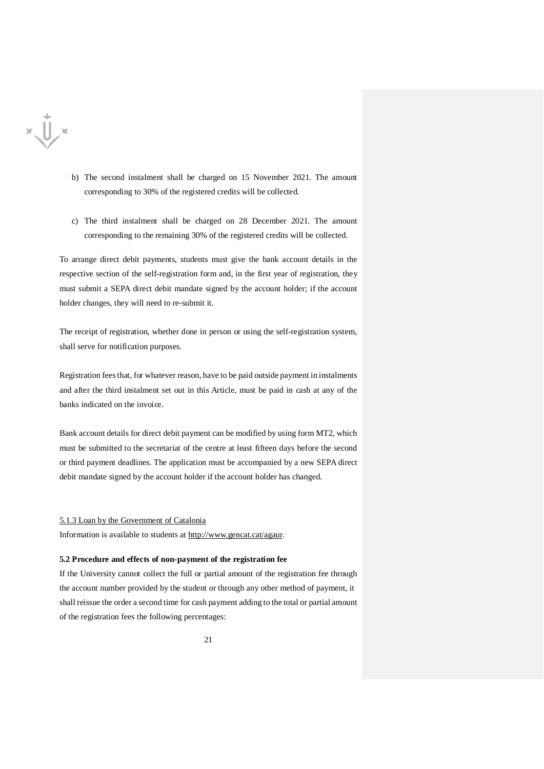

- b) The second instalment shall be charged on 15 November 2021. The amount corresponding to 30% of the registered credits will be collected.
- c) The third instalment shall be charged on 28 December 2021. The amount corresponding to the remaining 30% of the registered credits will be collected.

To arrange direct debit payments, students must give the bank account details in the respective section of the self-registration form and, in the first year of registration, they must submit a SEPA direct debit mandate signed by the account holder; if the account holder changes, they will need to re-submit it.

The receipt of registration, whether done in person or using the self-registration system, shall serve for notification purposes.

Registration fees that, for whatever reason, have to be paid outside payment in instalments and after the third instalment set out in this Article, must be paid in cash at any of the banks indicated on the invoice.

Bank account details for direct debit payment can be modified by using form MT2, which must be submitted to the secretariat of the centre at least fifteen days before the second or third payment deadlines. The application must be accompanied by a new SEPA direct debit mandate signed by the account holder if the account holder has changed.

#### 5.1.3 Loan by the Government of Catalonia

Information is available to students at [http://www.gencat.cat/agaur.](http://www.gencat.cat/agaur)

#### **5.2 Procedure and effects of non-payment of the registration fee**

If the University cannot collect the full or partial amount of the registration fee through the account number provided by the student or through any other method of payment, it shall reissue the order a second time for cash payment adding to the total or partial amount of the registration fees the following percentages: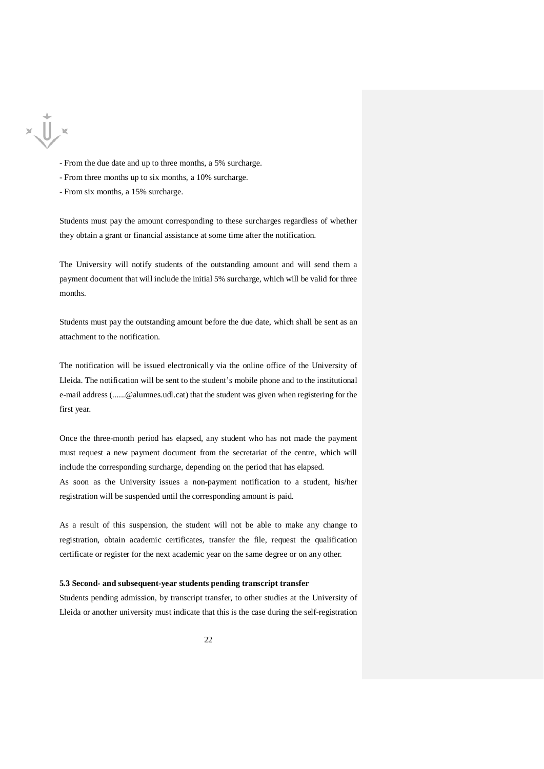

- From the due date and up to three months, a 5% surcharge.

- From three months up to six months, a 10% surcharge.
- From six months, a 15% surcharge.

Students must pay the amount corresponding to these surcharges regardless of whether they obtain a grant or financial assistance at some time after the notification.

The University will notify students of the outstanding amount and will send them a payment document that will include the initial 5% surcharge, which will be valid for three months.

Students must pay the outstanding amount before the due date, which shall be sent as an attachment to the notification.

The notification will be issued electronically via the online office of the University of Lleida. The notification will be sent to the student's mobile phone and to the institutional e-mail address (......@alumnes.udl.cat) that the student was given when registering for the first year.

Once the three-month period has elapsed, any student who has not made the payment must request a new payment document from the secretariat of the centre, which will include the corresponding surcharge, depending on the period that has elapsed.

As soon as the University issues a non-payment notification to a student, his/her registration will be suspended until the corresponding amount is paid.

As a result of this suspension, the student will not be able to make any change to registration, obtain academic certificates, transfer the file, request the qualification certificate or register for the next academic year on the same degree or on any other.

# **5.3 Second- and subsequent-year students pending transcript transfer**

Students pending admission, by transcript transfer, to other studies at the University of Lleida or another university must indicate that this is the case during the self-registration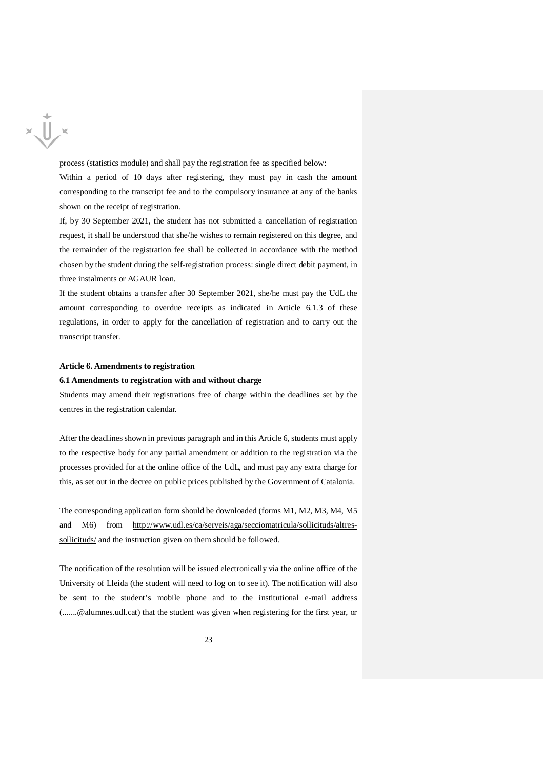

process (statistics module) and shall pay the registration fee as specified below:

Within a period of 10 days after registering, they must pay in cash the amount corresponding to the transcript fee and to the compulsory insurance at any of the banks shown on the receipt of registration.

If, by 30 September 2021, the student has not submitted a cancellation of registration request, it shall be understood that she/he wishes to remain registered on this degree, and the remainder of the registration fee shall be collected in accordance with the method chosen by the student during the self-registration process: single direct debit payment, in three instalments or AGAUR loan.

If the student obtains a transfer after 30 September 2021, she/he must pay the UdL the amount corresponding to overdue receipts as indicated in Article 6.1.3 of these regulations, in order to apply for the cancellation of registration and to carry out the transcript transfer.

#### **Article 6. Amendments to registration**

#### **6.1 Amendments to registration with and without charge**

Students may amend their registrations free of charge within the deadlines set by the centres in the registration calendar.

After the deadlines shown in previous paragraph and in this Article 6, students must apply to the respective body for any partial amendment or addition to the registration via the processes provided for at the online office of the UdL, and must pay any extra charge for this, as set out in the decree on public prices published by the Government of Catalonia.

The corresponding application form should be downloaded (forms M1, M2, M3, M4, M5 and M6) from [http://www.udl.es/ca/serveis/aga/secciomatricula/sollicituds/altres](http://www.udl.es/ca/serveis/aga/secciomatricula/sollicituds/altres-sollicituds/)[sollicituds/](http://www.udl.es/ca/serveis/aga/secciomatricula/sollicituds/altres-sollicituds/) and the instruction given on them should be followed.

The notification of the resolution will be issued electronically via the online office of the University of Lleida (the student will need to log on to see it). The notification will also be sent to the student's mobile phone and to the institutional e-mail address (.......@alumnes.udl.cat) that the student was given when registering for the first year, or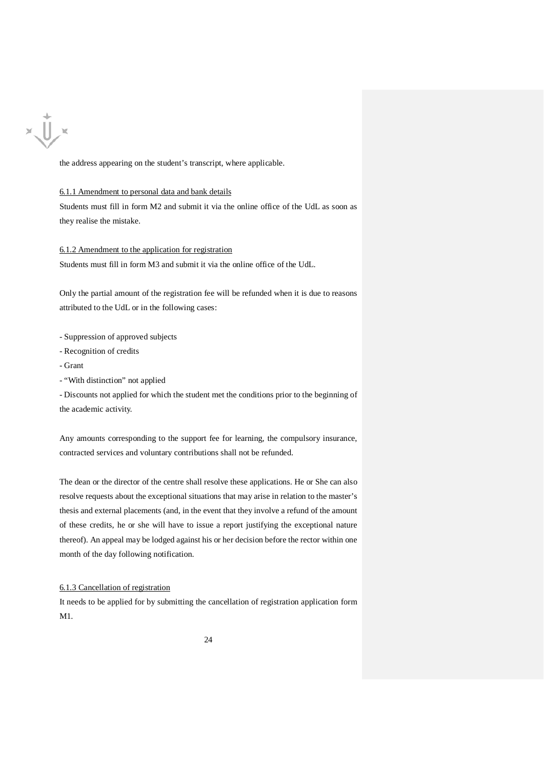

the address appearing on the student's transcript, where applicable.

#### 6.1.1 Amendment to personal data and bank details

Students must fill in form M2 and submit it via the online office of the UdL as soon as they realise the mistake.

# 6.1.2 Amendment to the application for registration

Students must fill in form M3 and submit it via the online office of the UdL.

Only the partial amount of the registration fee will be refunded when it is due to reasons attributed to the UdL or in the following cases:

- Suppression of approved subjects
- Recognition of credits
- Grant
- "With distinction" not applied

- Discounts not applied for which the student met the conditions prior to the beginning of the academic activity.

Any amounts corresponding to the support fee for learning, the compulsory insurance, contracted services and voluntary contributions shall not be refunded.

The dean or the director of the centre shall resolve these applications. He or She can also resolve requests about the exceptional situations that may arise in relation to the master's thesis and external placements (and, in the event that they involve a refund of the amount of these credits, he or she will have to issue a report justifying the exceptional nature thereof). An appeal may be lodged against his or her decision before the rector within one month of the day following notification.

# 6.1.3 Cancellation of registration

It needs to be applied for by submitting the cancellation of registration application form M1.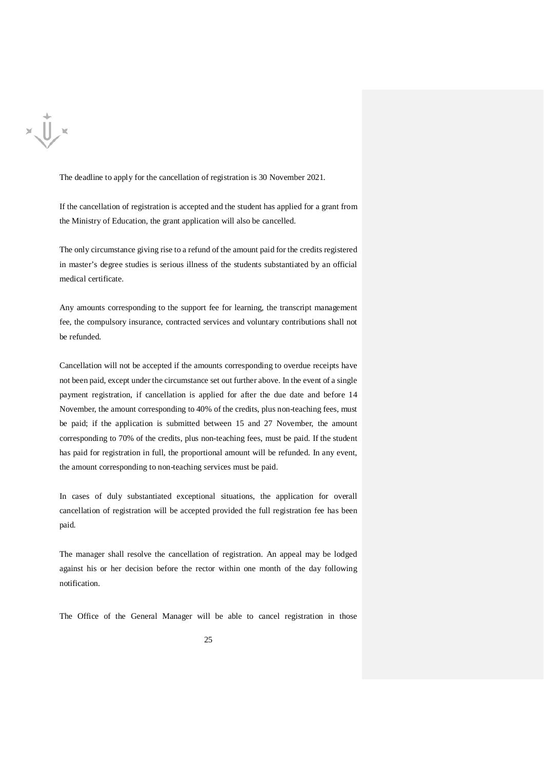

The deadline to apply for the cancellation of registration is 30 November 2021.

If the cancellation of registration is accepted and the student has applied for a grant from the Ministry of Education, the grant application will also be cancelled.

The only circumstance giving rise to a refund of the amount paid for the credits registered in master's degree studies is serious illness of the students substantiated by an official medical certificate.

Any amounts corresponding to the support fee for learning, the transcript management fee, the compulsory insurance, contracted services and voluntary contributions shall not be refunded.

Cancellation will not be accepted if the amounts corresponding to overdue receipts have not been paid, except under the circumstance set out further above. In the event of a single payment registration, if cancellation is applied for after the due date and before 14 November, the amount corresponding to 40% of the credits, plus non-teaching fees, must be paid; if the application is submitted between 15 and 27 November, the amount corresponding to 70% of the credits, plus non-teaching fees, must be paid. If the student has paid for registration in full, the proportional amount will be refunded. In any event, the amount corresponding to non-teaching services must be paid.

In cases of duly substantiated exceptional situations, the application for overall cancellation of registration will be accepted provided the full registration fee has been paid.

The manager shall resolve the cancellation of registration. An appeal may be lodged against his or her decision before the rector within one month of the day following notification.

The Office of the General Manager will be able to cancel registration in those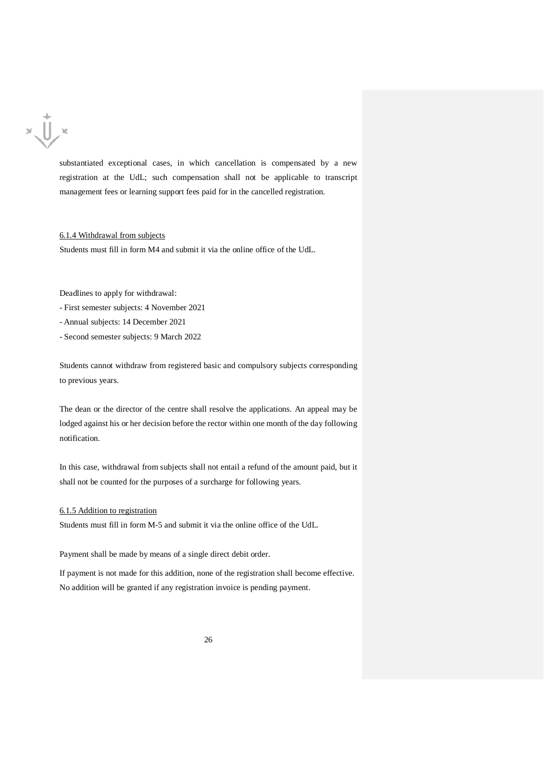

substantiated exceptional cases, in which cancellation is compensated by a new registration at the UdL; such compensation shall not be applicable to transcript management fees or learning support fees paid for in the cancelled registration.

6.1.4 Withdrawal from subjects

Students must fill in form M4 and submit it via the online office of the UdL.

Deadlines to apply for withdrawal:

- First semester subjects: 4 November 2021
- Annual subjects: 14 December 2021
- Second semester subjects: 9 March 2022

Students cannot withdraw from registered basic and compulsory subjects corresponding to previous years.

The dean or the director of the centre shall resolve the applications. An appeal may be lodged against his or her decision before the rector within one month of the day following notification.

In this case, withdrawal from subjects shall not entail a refund of the amount paid, but it shall not be counted for the purposes of a surcharge for following years.

## 6.1.5 Addition to registration

Students must fill in form M-5 and submit it via the online office of the UdL.

Payment shall be made by means of a single direct debit order.

If payment is not made for this addition, none of the registration shall become effective. No addition will be granted if any registration invoice is pending payment.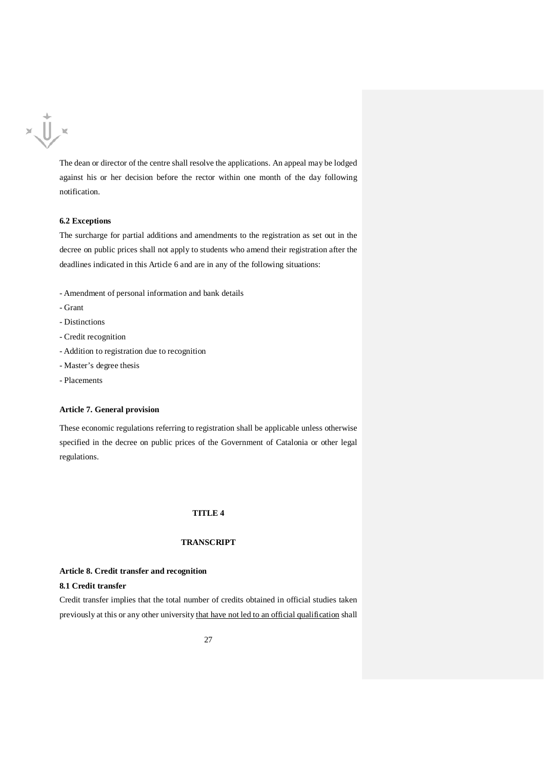

The dean or director of the centre shall resolve the applications. An appeal may be lodged against his or her decision before the rector within one month of the day following notification.

# **6.2 Exceptions**

The surcharge for partial additions and amendments to the registration as set out in the decree on public prices shall not apply to students who amend their registration after the deadlines indicated in this Article 6 and are in any of the following situations:

- Amendment of personal information and bank details
- Grant
- Distinctions
- Credit recognition
- Addition to registration due to recognition
- Master's degree thesis
- Placements

#### **Article 7. General provision**

These economic regulations referring to registration shall be applicable unless otherwise specified in the decree on public prices of the Government of Catalonia or other legal regulations.

# **TITLE 4**

# **TRANSCRIPT**

#### **Article 8. Credit transfer and recognition**

# **8.1 Credit transfer**

Credit transfer implies that the total number of credits obtained in official studies taken previously at this or any other university that have not led to an official qualification shall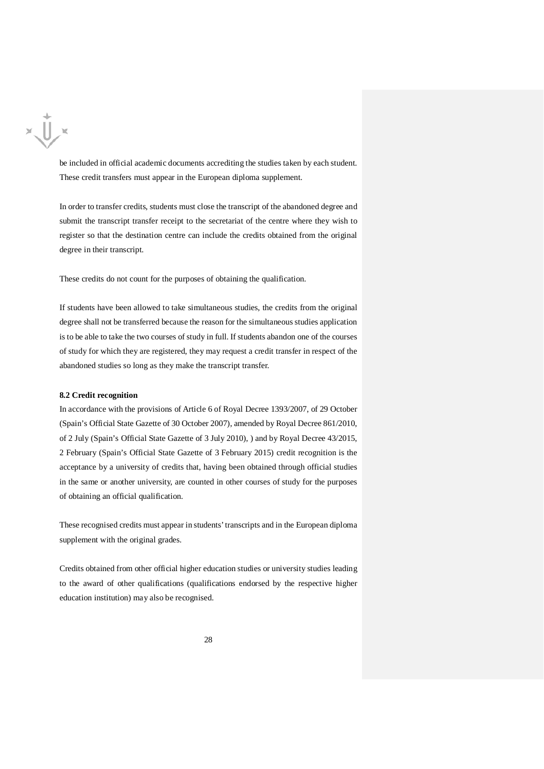

be included in official academic documents accrediting the studies taken by each student. These credit transfers must appear in the European diploma supplement.

In order to transfer credits, students must close the transcript of the abandoned degree and submit the transcript transfer receipt to the secretariat of the centre where they wish to register so that the destination centre can include the credits obtained from the original degree in their transcript.

These credits do not count for the purposes of obtaining the qualification.

If students have been allowed to take simultaneous studies, the credits from the original degree shall not be transferred because the reason for the simultaneous studies application is to be able to take the two courses of study in full. If students abandon one of the courses of study for which they are registered, they may request a credit transfer in respect of the abandoned studies so long as they make the transcript transfer.

## **8.2 Credit recognition**

In accordance with the provisions of Article 6 of Royal Decree 1393/2007, of 29 October (Spain's Official State Gazette of 30 October 2007), amended by Royal Decree 861/2010, of 2 July (Spain's Official State Gazette of 3 July 2010), ) and by Royal Decree 43/2015, 2 February (Spain's Official State Gazette of 3 February 2015) credit recognition is the acceptance by a university of credits that, having been obtained through official studies in the same or another university, are counted in other courses of study for the purposes of obtaining an official qualification.

These recognised credits must appear in students' transcripts and in the European diploma supplement with the original grades.

Credits obtained from other official higher education studies or university studies leading to the award of other qualifications (qualifications endorsed by the respective higher education institution) may also be recognised.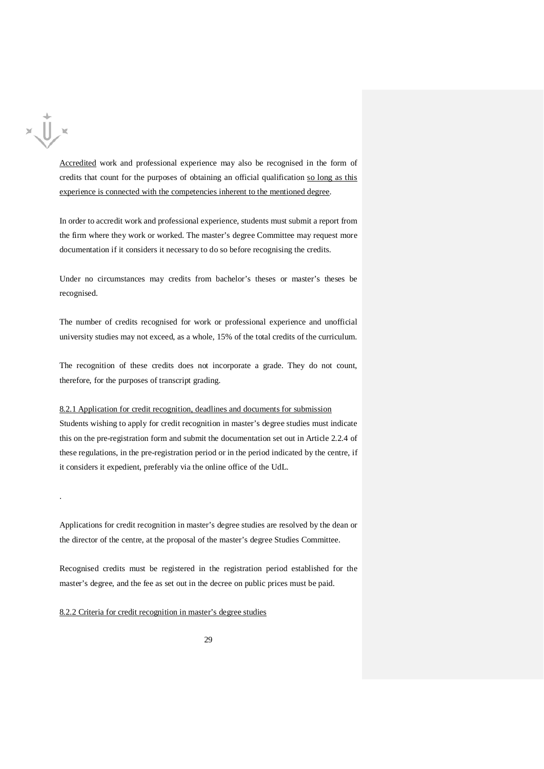

.

Accredited work and professional experience may also be recognised in the form of credits that count for the purposes of obtaining an official qualification so long as this experience is connected with the competencies inherent to the mentioned degree.

In order to accredit work and professional experience, students must submit a report from the firm where they work or worked. The master's degree Committee may request more documentation if it considers it necessary to do so before recognising the credits.

Under no circumstances may credits from bachelor's theses or master's theses be recognised.

The number of credits recognised for work or professional experience and unofficial university studies may not exceed, as a whole, 15% of the total credits of the curriculum.

The recognition of these credits does not incorporate a grade. They do not count, therefore, for the purposes of transcript grading.

8.2.1 Application for credit recognition, deadlines and documents for submission Students wishing to apply for credit recognition in master's degree studies must indicate this on the pre-registration form and submit the documentation set out in Article 2.2.4 of these regulations, in the pre-registration period or in the period indicated by the centre, if it considers it expedient, preferably via the online office of the UdL.

Applications for credit recognition in master's degree studies are resolved by the dean or the director of the centre, at the proposal of the master's degree Studies Committee.

Recognised credits must be registered in the registration period established for the master's degree, and the fee as set out in the decree on public prices must be paid.

8.2.2 Criteria for credit recognition in master's degree studies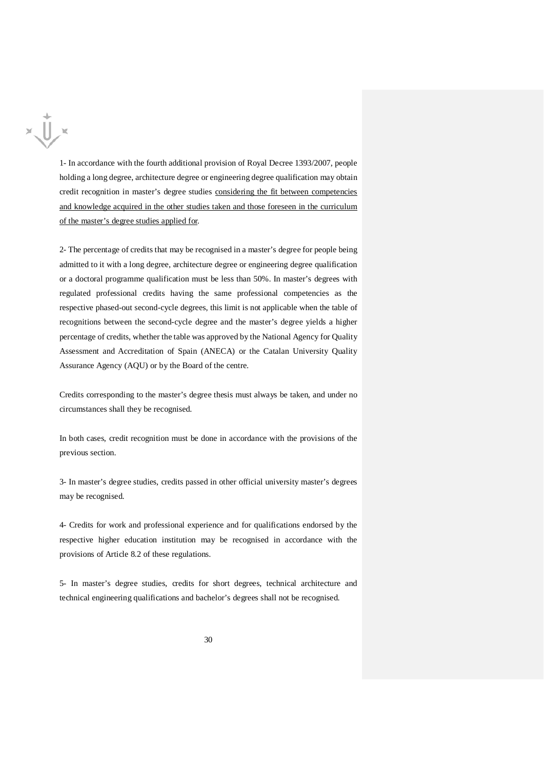1- In accordance with the fourth additional provision of Royal Decree 1393/2007, people holding a long degree, architecture degree or engineering degree qualification may obtain credit recognition in master's degree studies considering the fit between competencies and knowledge acquired in the other studies taken and those foreseen in the curriculum of the master's degree studies applied for.

 $x\sqrt{U}$ 

2- The percentage of credits that may be recognised in a master's degree for people being admitted to it with a long degree, architecture degree or engineering degree qualification or a doctoral programme qualification must be less than 50%. In master's degrees with regulated professional credits having the same professional competencies as the respective phased-out second-cycle degrees, this limit is not applicable when the table of recognitions between the second-cycle degree and the master's degree yields a higher percentage of credits, whether the table was approved by the National Agency for Quality Assessment and Accreditation of Spain (ANECA) or the Catalan University Quality Assurance Agency (AQU) or by the Board of the centre.

Credits corresponding to the master's degree thesis must always be taken, and under no circumstances shall they be recognised.

In both cases, credit recognition must be done in accordance with the provisions of the previous section.

3- In master's degree studies, credits passed in other official university master's degrees may be recognised.

4- Credits for work and professional experience and for qualifications endorsed by the respective higher education institution may be recognised in accordance with the provisions of Article 8.2 of these regulations.

5- In master's degree studies, credits for short degrees, technical architecture and technical engineering qualifications and bachelor's degrees shall not be recognised.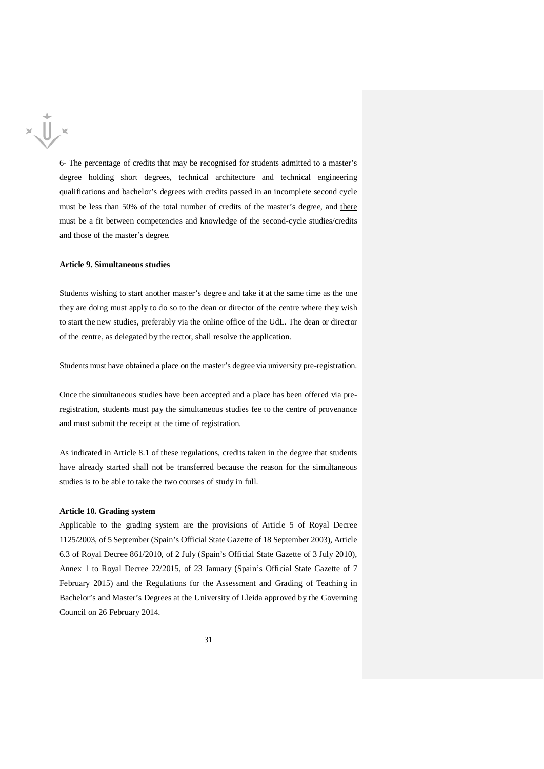

6- The percentage of credits that may be recognised for students admitted to a master's degree holding short degrees, technical architecture and technical engineering qualifications and bachelor's degrees with credits passed in an incomplete second cycle must be less than 50% of the total number of credits of the master's degree, and there must be a fit between competencies and knowledge of the second-cycle studies/credits and those of the master's degree.

## **Article 9. Simultaneous studies**

Students wishing to start another master's degree and take it at the same time as the one they are doing must apply to do so to the dean or director of the centre where they wish to start the new studies, preferably via the online office of the UdL. The dean or director of the centre, as delegated by the rector, shall resolve the application.

Students must have obtained a place on the master's degree via university pre-registration.

Once the simultaneous studies have been accepted and a place has been offered via preregistration, students must pay the simultaneous studies fee to the centre of provenance and must submit the receipt at the time of registration.

As indicated in Article 8.1 of these regulations, credits taken in the degree that students have already started shall not be transferred because the reason for the simultaneous studies is to be able to take the two courses of study in full.

#### **Article 10. Grading system**

Applicable to the grading system are the provisions of Article 5 of Royal Decree 1125/2003, of 5 September (Spain's Official State Gazette of 18 September 2003), Article 6.3 of Royal Decree 861/2010, of 2 July (Spain's Official State Gazette of 3 July 2010), Annex 1 to Royal Decree 22/2015, of 23 January (Spain's Official State Gazette of 7 February 2015) and the Regulations for the Assessment and Grading of Teaching in Bachelor's and Master's Degrees at the University of Lleida approved by the Governing Council on 26 February 2014.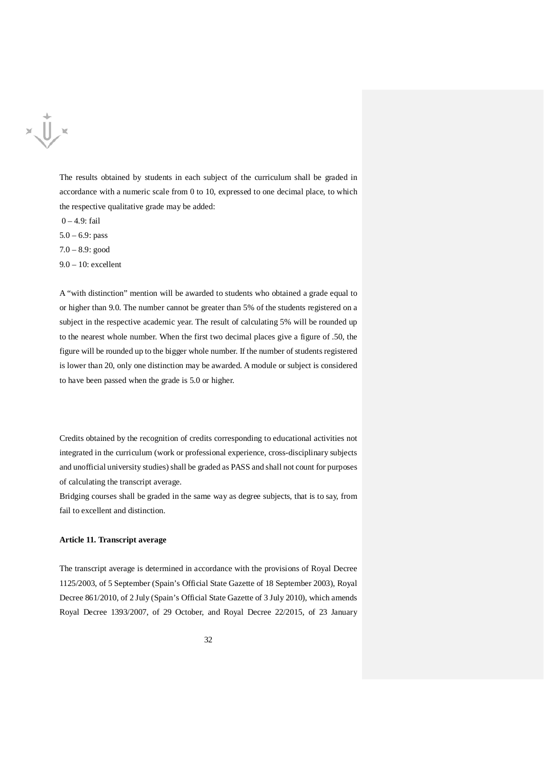

The results obtained by students in each subject of the curriculum shall be graded in accordance with a numeric scale from 0 to 10, expressed to one decimal place, to which the respective qualitative grade may be added:

0 – 4.9: fail

5.0 – 6.9: pass

7.0 – 8.9: good

9.0 – 10: excellent

A "with distinction" mention will be awarded to students who obtained a grade equal to or higher than 9.0. The number cannot be greater than 5% of the students registered on a subject in the respective academic year. The result of calculating 5% will be rounded up to the nearest whole number. When the first two decimal places give a figure of .50, the figure will be rounded up to the bigger whole number. If the number of students registered is lower than 20, only one distinction may be awarded. A module or subject is considered to have been passed when the grade is 5.0 or higher.

Credits obtained by the recognition of credits corresponding to educational activities not integrated in the curriculum (work or professional experience, cross-disciplinary subjects and unofficial university studies) shall be graded as PASS and shall not count for purposes of calculating the transcript average.

Bridging courses shall be graded in the same way as degree subjects, that is to say, from fail to excellent and distinction.

#### **Article 11. Transcript average**

The transcript average is determined in accordance with the provisions of Royal Decree 1125/2003, of 5 September (Spain's Official State Gazette of 18 September 2003), Royal Decree 861/2010, of 2 July (Spain's Official State Gazette of 3 July 2010), which amends Royal Decree 1393/2007, of 29 October, and Royal Decree 22/2015, of 23 January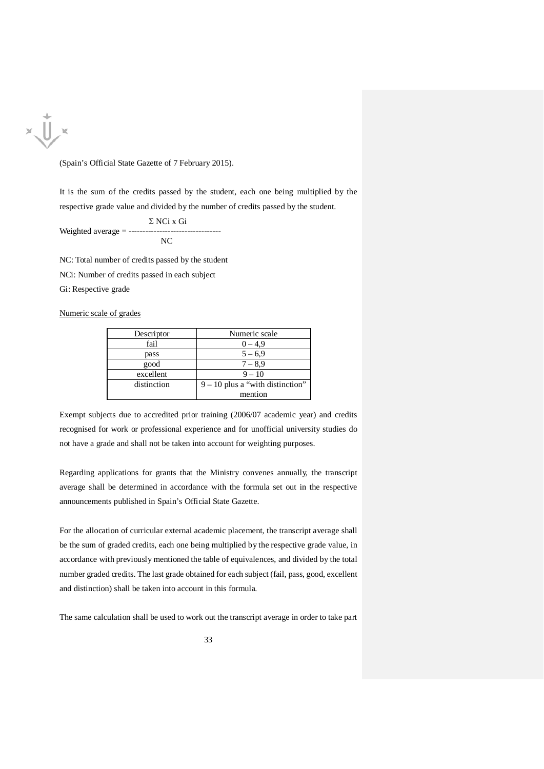

(Spain's Official State Gazette of 7 February 2015).

It is the sum of the credits passed by the student, each one being multiplied by the respective grade value and divided by the number of credits passed by the student.

Σ NCi x Gi Weighted average  $=$  ------NC

NC: Total number of credits passed by the student NCi: Number of credits passed in each subject Gi: Respective grade

Numeric scale of grades

| Descriptor  | Numeric scale                      |
|-------------|------------------------------------|
| fail        | $0 - 4.9$                          |
| pass        | $5 - 6.9$                          |
| good        | $7 - 8.9$                          |
| excellent   | $9 - 10$                           |
| distinction | $9 - 10$ plus a "with distinction" |
|             | mention                            |

Exempt subjects due to accredited prior training (2006/07 academic year) and credits recognised for work or professional experience and for unofficial university studies do not have a grade and shall not be taken into account for weighting purposes.

Regarding applications for grants that the Ministry convenes annually, the transcript average shall be determined in accordance with the formula set out in the respective announcements published in Spain's Official State Gazette.

For the allocation of curricular external academic placement, the transcript average shall be the sum of graded credits, each one being multiplied by the respective grade value, in accordance with previously mentioned the table of equivalences, and divided by the total number graded credits. The last grade obtained for each subject (fail, pass, good, excellent and distinction) shall be taken into account in this formula.

The same calculation shall be used to work out the transcript average in order to take part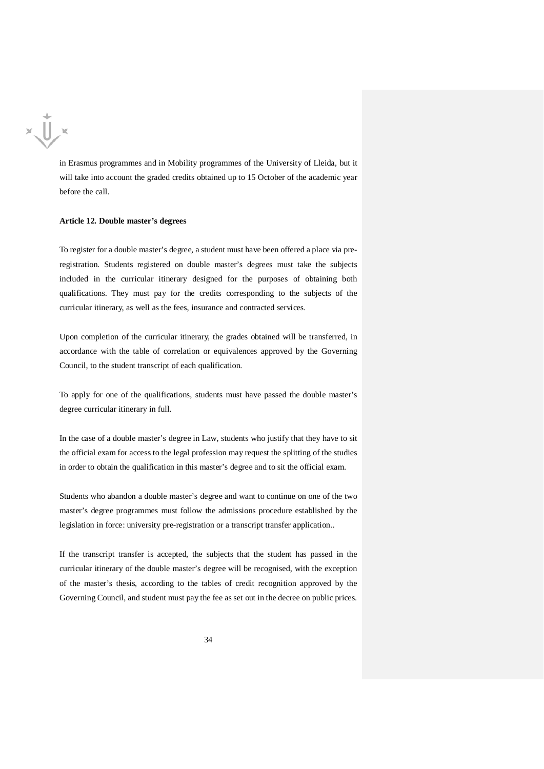$x\sqrt{1/x}$ 

in Erasmus programmes and in Mobility programmes of the University of Lleida, but it will take into account the graded credits obtained up to 15 October of the academic year before the call.

#### **Article 12. Double master's degrees**

To register for a double master's degree, a student must have been offered a place via preregistration. Students registered on double master's degrees must take the subjects included in the curricular itinerary designed for the purposes of obtaining both qualifications. They must pay for the credits corresponding to the subjects of the curricular itinerary, as well as the fees, insurance and contracted services.

Upon completion of the curricular itinerary, the grades obtained will be transferred, in accordance with the table of correlation or equivalences approved by the Governing Council, to the student transcript of each qualification.

To apply for one of the qualifications, students must have passed the double master's degree curricular itinerary in full.

In the case of a double master's degree in Law, students who justify that they have to sit the official exam for access to the legal profession may request the splitting of the studies in order to obtain the qualification in this master's degree and to sit the official exam.

Students who abandon a double master's degree and want to continue on one of the two master's degree programmes must follow the admissions procedure established by the legislation in force: university pre-registration or a transcript transfer application..

If the transcript transfer is accepted, the subjects that the student has passed in the curricular itinerary of the double master's degree will be recognised, with the exception of the master's thesis, according to the tables of credit recognition approved by the Governing Council, and student must pay the fee as set out in the decree on public prices.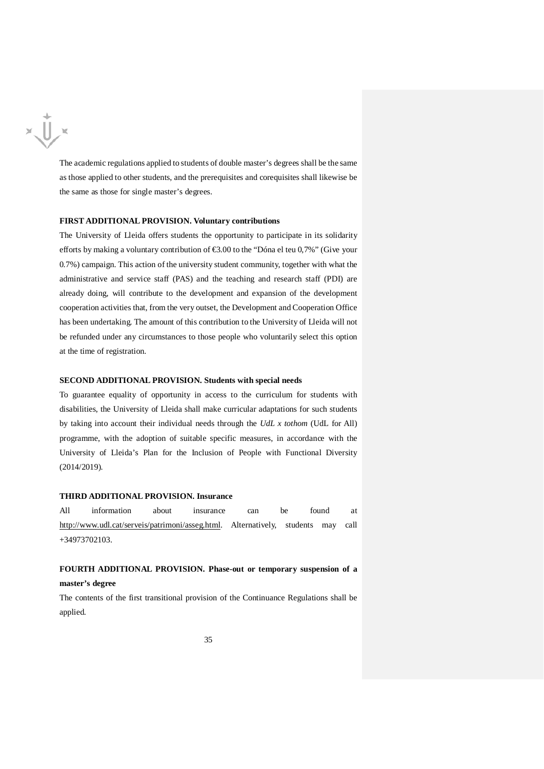$x \bigcup x$ 

The academic regulations applied to students of double master's degrees shall be the same as those applied to other students, and the prerequisites and corequisites shall likewise be the same as those for single master's degrees.

## **FIRST ADDITIONAL PROVISION. Voluntary contributions**

The University of Lleida offers students the opportunity to participate in its solidarity efforts by making a voluntary contribution of €3.00 to the "Dóna el teu 0,7%" (Give your 0.7%) campaign. This action of the university student community, together with what the administrative and service staff (PAS) and the teaching and research staff (PDI) are already doing, will contribute to the development and expansion of the development cooperation activities that, from the very outset, the Development and Cooperation Office has been undertaking. The amount of this contribution to the University of Lleida will not be refunded under any circumstances to those people who voluntarily select this option at the time of registration.

#### **SECOND ADDITIONAL PROVISION. Students with special needs**

To guarantee equality of opportunity in access to the curriculum for students with disabilities, the University of Lleida shall make curricular adaptations for such students by taking into account their individual needs through the *UdL x tothom* (UdL for All) programme, with the adoption of suitable specific measures, in accordance with the University of Lleida's Plan for the Inclusion of People with Functional Diversity (2014/2019).

# **THIRD ADDITIONAL PROVISION. Insurance**

All information about insurance can be found at [http://www.udl.cat/serveis/patrimoni/asseg.html.](http://www.udl.cat/serveis/patrimoni/asseg.html) Alternatively, students may call +34973702103.

# **FOURTH ADDITIONAL PROVISION. Phase-out or temporary suspension of a master's degree**

The contents of the first transitional provision of the Continuance Regulations shall be applied.